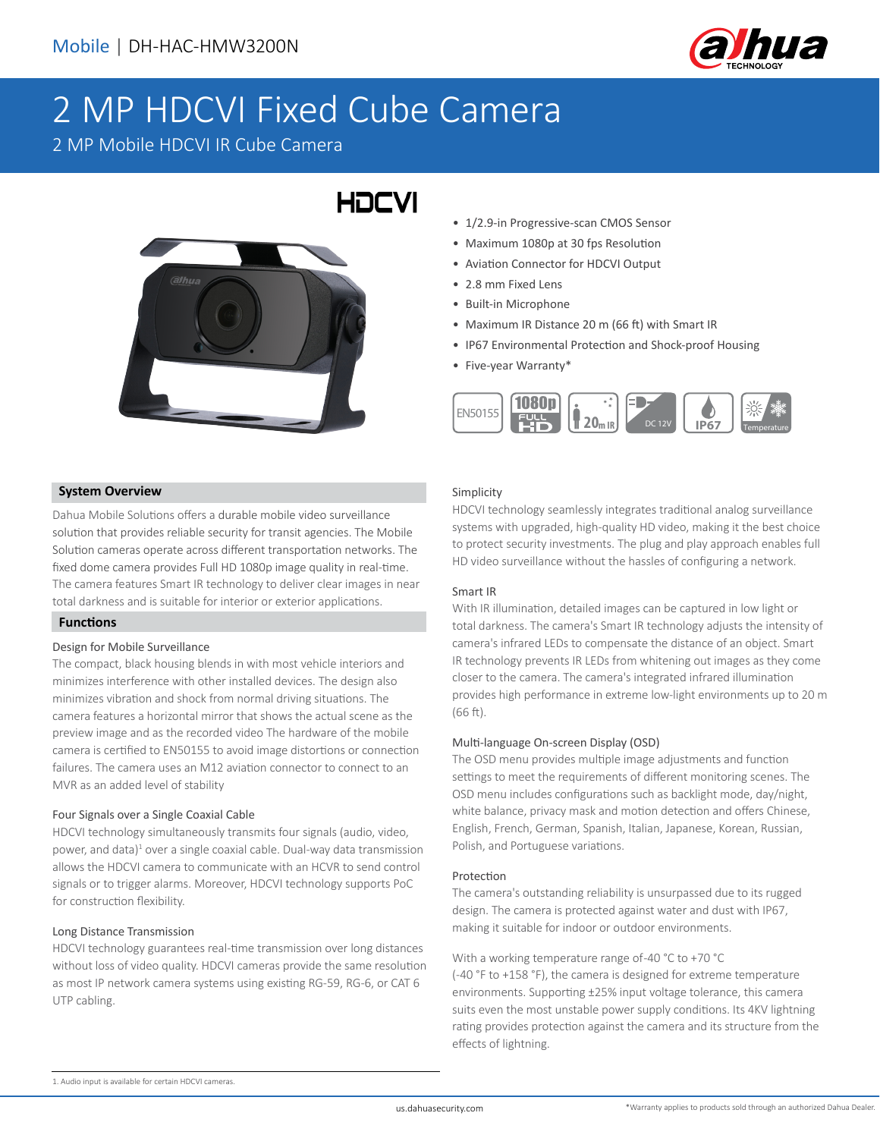

# 2 MP HDCVI Fixed Cube Camera

HOCVI

2 MP Mobile HDCVI IR Cube Camera



### **System Overview**

Dahua Mobile Solutions offers a durable mobile video surveillance solution that provides reliable security for transit agencies. The Mobile Solution cameras operate across different transportation networks. The fixed dome camera provides Full HD 1080p image quality in real-time. The camera features Smart IR technology to deliver clear images in near total darkness and is suitable for interior or exterior applications.

#### **Functions**

#### Design for Mobile Surveillance

The compact, black housing blends in with most vehicle interiors and minimizes interference with other installed devices. The design also minimizes vibration and shock from normal driving situations. The camera features a horizontal mirror that shows the actual scene as the preview image and as the recorded video The hardware of the mobile camera is certified to EN50155 to avoid image distortions or connection failures. The camera uses an M12 aviation connector to connect to an MVR as an added level of stability

#### Four Signals over a Single Coaxial Cable

HDCVI technology simultaneously transmits four signals (audio, video, power, and data)<sup>1</sup> over a single coaxial cable. Dual-way data transmission allows the HDCVI camera to communicate with an HCVR to send control signals or to trigger alarms. Moreover, HDCVI technology supports PoC for construction flexibility.

#### Long Distance Transmission

HDCVI technology guarantees real-time transmission over long distances without loss of video quality. HDCVI cameras provide the same resolution as most IP network camera systems using existing RG-59, RG-6, or CAT 6 UTP cabling.

- 1/2.9-in Progressive-scan CMOS Sensor
- Maximum 1080p at 30 fps Resolution
- Aviation Connector for HDCVI Output
- 2.8 mm Fixed Lens
- Built-in Microphone
- Maximum IR Distance 20 m (66 ft) with Smart IR
- IP67 Environmental Protection and Shock-proof Housing
- Five-year Warranty\*



#### Simplicity

HDCVI technology seamlessly integrates traditional analog surveillance systems with upgraded, high-quality HD video, making it the best choice to protect security investments. The plug and play approach enables full HD video surveillance without the hassles of configuring a network.

#### Smart IR

With IR illumination, detailed images can be captured in low light or total darkness. The camera's Smart IR technology adjusts the intensity of camera's infrared LEDs to compensate the distance of an object. Smart IR technology prevents IR LEDs from whitening out images as they come closer to the camera. The camera's integrated infrared illumination provides high performance in extreme low-light environments up to 20 m (66 ft).

#### Multi-language On-screen Display (OSD)

The OSD menu provides multiple image adjustments and function settings to meet the requirements of different monitoring scenes. The OSD menu includes configurations such as backlight mode, day/night, white balance, privacy mask and motion detection and offers Chinese, English, French, German, Spanish, Italian, Japanese, Korean, Russian, Polish, and Portuguese variations.

#### Protection

The camera's outstanding reliability is unsurpassed due to its rugged design. The camera is protected against water and dust with IP67, making it suitable for indoor or outdoor environments.

#### With a working temperature range of -40 °C to +70 °C

(-40 °F to +158 °F), the camera is designed for extreme temperature environments. Supporting ±25% input voltage tolerance, this camera suits even the most unstable power supply conditions. Its 4KV lightning rating provides protection against the camera and its structure from the effects of lightning.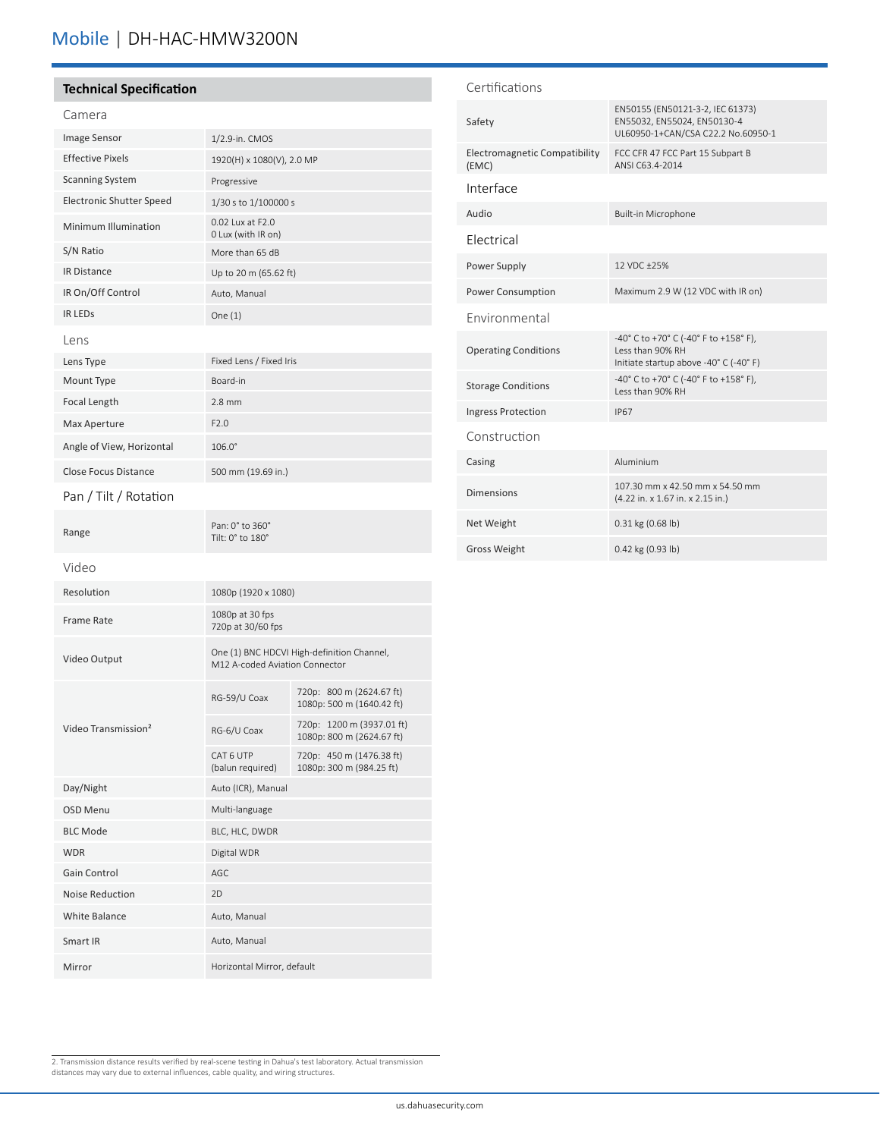# Mobile | DH-HAC-HMW3200N

| <b>Technical Specification</b>  |                                        | Certifications                         |                                                                                                       |
|---------------------------------|----------------------------------------|----------------------------------------|-------------------------------------------------------------------------------------------------------|
| Camera                          |                                        | Safety                                 | EN50155 (EN50121-3-2, IEC 61373)<br>EN55032, EN55024, EN50130-4<br>UL60950-1+CAN/CSA C22.2 No.60950-1 |
| <b>Image Sensor</b>             | 1/2.9-in. CMOS                         |                                        |                                                                                                       |
| <b>Effective Pixels</b>         | 1920(H) x 1080(V), 2.0 MP              | Electromagnetic Compatibility<br>(EMC) | FCC CFR 47 FCC Part 15 Subpart B<br>ANSI C63.4-2014                                                   |
| <b>Scanning System</b>          | Progressive                            | Interface                              |                                                                                                       |
| <b>Electronic Shutter Speed</b> | 1/30 s to 1/100000 s                   |                                        |                                                                                                       |
| Minimum Illumination            | 0.02 Lux at F2.0<br>0 Lux (with IR on) | Audio<br>Electrical                    | Built-in Microphone                                                                                   |
| S/N Ratio                       | More than 65 dB                        |                                        |                                                                                                       |
| <b>IR Distance</b>              | Up to 20 m (65.62 ft)                  | Power Supply                           | 12 VDC ±25%                                                                                           |
| IR On/Off Control               | Auto, Manual                           | Power Consumption                      | Maximum 2.9 W (12 VDC with IR on)                                                                     |
| <b>IR LEDS</b>                  | One $(1)$                              | Environmental                          |                                                                                                       |
| Lens                            |                                        |                                        | -40° C to +70° C (-40° F to +158° F),                                                                 |
| Lens Type                       | Fixed Lens / Fixed Iris                |                                        | <b>Operating Conditions</b><br>Less than 90% RH<br>Initiate startup above -40° C (-40° F)             |
| Mount Type                      | Board-in                               | <b>Storage Conditions</b>              | -40° C to +70° C (-40° F to +158° F),<br>Less than 90% RH                                             |
| Focal Length                    | $2.8$ mm                               | <b>Ingress Protection</b>              | <b>IP67</b>                                                                                           |
| Max Aperture                    | F2.0                                   | Construction                           |                                                                                                       |
| Angle of View, Horizontal       | $106.0^\circ$                          |                                        |                                                                                                       |
| <b>Close Focus Distance</b>     | 500 mm (19.69 in.)                     | Casing                                 | Aluminium                                                                                             |
| Pan / Tilt / Rotation           |                                        | <b>Dimensions</b>                      | 107.30 mm x 42.50 mm x 54.50 mm<br>(4.22 in. x 1.67 in. x 2.15 in.)                                   |
| Range                           | Pan: 0° to 360°<br>Tilt: 0° to 180°    | Net Weight                             | 0.31 kg (0.68 lb)                                                                                     |
|                                 |                                        | <b>Gross Weight</b>                    | 0.42 kg (0.93 lb)                                                                                     |
| Video                           |                                        |                                        |                                                                                                       |
|                                 |                                        |                                        |                                                                                                       |

| 1080p (1920 x 1080)                                                          |                                                        |
|------------------------------------------------------------------------------|--------------------------------------------------------|
| 1080p at 30 fps<br>720p at 30/60 fps                                         |                                                        |
| One (1) BNC HDCVI High-definition Channel,<br>M12 A-coded Aviation Connector |                                                        |
| RG-59/U Coax                                                                 | 720p: 800 m (2624.67 ft)<br>1080p: 500 m (1640.42 ft)  |
| RG-6/U Coax                                                                  | 720p: 1200 m (3937.01 ft)<br>1080p: 800 m (2624.67 ft) |
| CAT 6 UTP<br>(balun required)                                                | 720p: 450 m (1476.38 ft)<br>1080p: 300 m (984.25 ft)   |
| Auto (ICR), Manual                                                           |                                                        |
| Multi-language                                                               |                                                        |
| BLC, HLC, DWDR                                                               |                                                        |
| Digital WDR                                                                  |                                                        |
| AGC.                                                                         |                                                        |
| 2D                                                                           |                                                        |
| Auto, Manual                                                                 |                                                        |
| Auto, Manual                                                                 |                                                        |
| Horizontal Mirror, default                                                   |                                                        |
|                                                                              |                                                        |

2. Transmission distance results verified by real-scene testing in Dahua's test laboratory. Actual transmission distances may vary due to external influences, cable quality, and wiring structures.